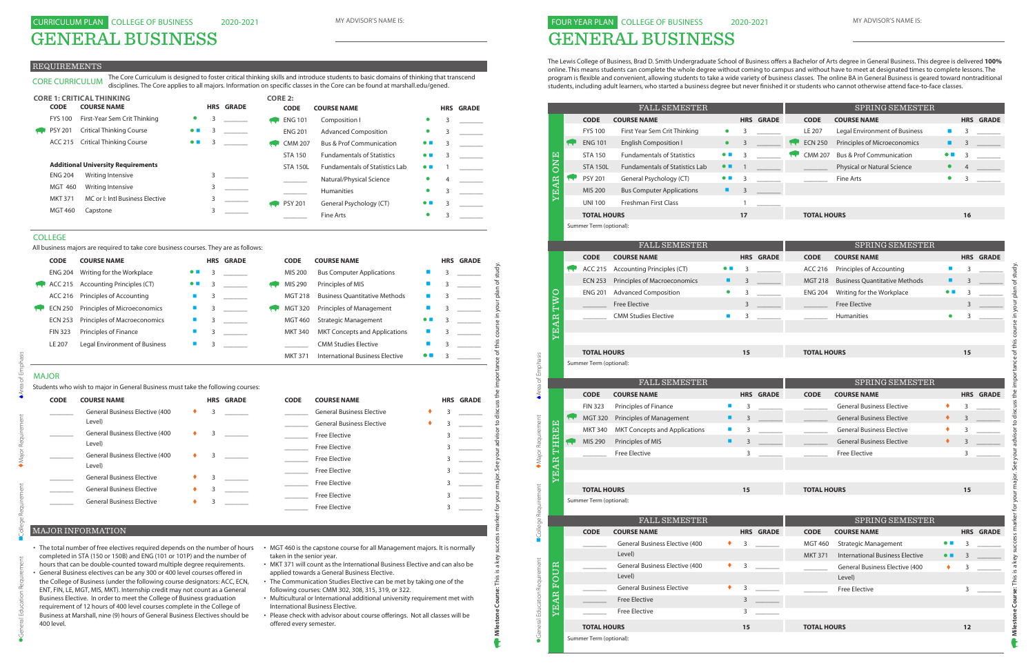GENERAL BUSINESS

#### REQUIREMENTS

| <b>CODE</b> | <b>COURSE NAME</b>                     |   | <b>HRS GRADE</b> | <b>CODE</b> | <b>COURSE NAME</b>               |    | <b>HRS GRADE</b> |
|-------------|----------------------------------------|---|------------------|-------------|----------------------------------|----|------------------|
|             | <b>General Business Elective (400</b>  | 3 |                  |             | <b>General Business Elective</b> | 3. |                  |
|             | Level)                                 |   |                  |             | <b>General Business Elective</b> |    |                  |
|             | <b>General Business Elective (400</b>  | 3 |                  |             | <b>Free Elective</b>             |    |                  |
|             | Level)                                 |   |                  |             | <b>Free Elective</b>             |    |                  |
|             | <b>General Business Elective (400)</b> | 3 |                  |             | <b>Free Elective</b>             |    |                  |
|             | Level)                                 |   |                  |             | <b>Free Elective</b>             |    |                  |
|             | <b>General Business Elective</b>       |   |                  |             | <b>Free Elective</b>             |    |                  |
|             | <b>General Business Elective</b>       |   |                  |             | <b>Free Elective</b>             |    |                  |
|             | <b>General Business Elective</b>       |   |                  |             | <b>Free Elective</b>             |    |                  |
|             |                                        |   |                  |             |                                  |    |                  |

# MAJOR

CORE CURRICULUM The Core Curriculum is designed to foster critical thinking skills and introduce students to basic domains of thinking that transcend disciplines. The Core applies to all majors. Information on specific classes in the Core can be found at marshall.edu/gened.

|                | <b>CORE 1: CRITICAL THINKING</b>          |                          |   |                  | <b>CORE 2:</b> |                 |                                       |                          |            |              |
|----------------|-------------------------------------------|--------------------------|---|------------------|----------------|-----------------|---------------------------------------|--------------------------|------------|--------------|
| <b>CODE</b>    | <b>COURSE NAME</b>                        |                          |   | <b>HRS GRADE</b> |                | <b>CODE</b>     | <b>COURSE NAME</b>                    |                          | <b>HRS</b> | <b>GRADE</b> |
| <b>FYS 100</b> | First-Year Sem Crit Thinking              | $\bullet$                | 3 |                  |                | <b>ENG 101</b>  | Composition I                         | $\bullet$                | 3          |              |
| <b>PSY 201</b> | <b>Critical Thinking Course</b>           | $\bullet$ $\blacksquare$ | 3 |                  |                | <b>ENG 201</b>  | <b>Advanced Composition</b>           | $\bullet$                | 3          |              |
| ACC 215        | <b>Critical Thinking Course</b>           | $\bullet$ $\blacksquare$ | 3 |                  |                | <b>CMM 207</b>  | <b>Bus &amp; Prof Communication</b>   | $\bullet$ $\blacksquare$ | 3          |              |
|                |                                           |                          |   |                  |                | <b>STA 150</b>  | <b>Fundamentals of Statistics</b>     | $\bullet$ $\blacksquare$ | 3          |              |
|                | <b>Additional University Requirements</b> |                          |   |                  |                | <b>STA 150L</b> | <b>Fundamentals of Statistics Lab</b> | $\bullet$ $\blacksquare$ |            |              |
| <b>ENG 204</b> | Writing Intensive                         |                          |   |                  |                |                 | Natural/Physical Science              |                          | 4          |              |
| <b>MGT 460</b> | Writing Intensive                         |                          |   |                  |                |                 | <b>Humanities</b>                     | $\bullet$                | 3          |              |
| <b>MKT 371</b> | MC or I: Intl Business Elective           |                          |   |                  |                | <b>PSY 201</b>  | General Psychology (CT)               | $\bullet$ $\blacksquare$ | 3          |              |
| <b>MGT 460</b> | Capstone                                  |                          | 3 |                  |                |                 | Fine Arts                             |                          | ς          |              |

- The total number of free electives required depends on the number of hours MGT 460 is the capstone course for all Management majors. It is normally completed in STA (150 or 150B) and ENG (101 or 101P) and the number of hours that can be double-counted toward multiple degree requirements.
- General Business electives can be any 300 or 400 level courses offered in the College of Business (under the following course designators: ACC, ECN, ENT, FIN, LE, MGT, MIS, MKT). Internship credit may not count as a General Business Elective. In order to meet the College of Business graduation requirement of 12 hours of 400 level courses complete in the College of Business at Marshall, nine (9) hours of General Business Electives should be 400 level.
- taken in the senior year.
- MKT 371 will count as the International Business Elective and can also be applied towards a General Business Elective.
- The Communication Studies Elective can be met by taking one of the following courses: CMM 302, 308, 315, 319, or 322.
- Multicultural or International additional university requirement met with International Business Elective.
- Please check with advisor about course offerings. Not all classes will be offered every semester.

# MAJOR INFORMATION

#### COLLEGE

All business majors are required to take core business courses. They are as follows:

# 2020-2021 FOUR YEAR PLAN COLLEGE OF BUSINESS GENERAL BUSINESS

The Lewis College of Business, Brad D. Smith Undergraduate School of Business offers a Bachelor of Arts degree in General Business. This degree is delivered **100%** online. This means students can complete the whole degree without coming to campus and without have to meet at designated times to complete lessons. The program is flexible and convenient, allowing students to take a wide variety of business classes. The online BA in General Business is geared toward nontraditional students, including adult learners, who started a business degree but never finished it or students who cannot otherwise attend face-to-face classes.

| <b>CODE</b>    | <b>COURSE NAME</b>                                                                                                                                                                                                                                                                                                                                                                                                                                                                                                                                                                                                                                                                                              |                          |   | <b>HRS GRADE</b> | <b>CODE</b>                                          | <b>COURSE NAME</b>                                                                                                                                                                                                                                                                                                                                                                                                                                                                                                                        |                          |   | <b>HRS GRADE</b> |
|----------------|-----------------------------------------------------------------------------------------------------------------------------------------------------------------------------------------------------------------------------------------------------------------------------------------------------------------------------------------------------------------------------------------------------------------------------------------------------------------------------------------------------------------------------------------------------------------------------------------------------------------------------------------------------------------------------------------------------------------|--------------------------|---|------------------|------------------------------------------------------|-------------------------------------------------------------------------------------------------------------------------------------------------------------------------------------------------------------------------------------------------------------------------------------------------------------------------------------------------------------------------------------------------------------------------------------------------------------------------------------------------------------------------------------------|--------------------------|---|------------------|
| <b>ENG 204</b> | Writing for the Workplace                                                                                                                                                                                                                                                                                                                                                                                                                                                                                                                                                                                                                                                                                       |                          | 3 |                  | MIS 200                                              | <b>Bus Computer Applications</b>                                                                                                                                                                                                                                                                                                                                                                                                                                                                                                          |                          | 3 |                  |
| ACC 215        | <b>Accounting Principles (CT)</b>                                                                                                                                                                                                                                                                                                                                                                                                                                                                                                                                                                                                                                                                               | $\bullet$ $\blacksquare$ | 3 |                  | MIS 290                                              | Principles of MIS                                                                                                                                                                                                                                                                                                                                                                                                                                                                                                                         |                          | 3 |                  |
| ACC 216        | Principles of Accounting                                                                                                                                                                                                                                                                                                                                                                                                                                                                                                                                                                                                                                                                                        | $\blacksquare$           | 3 |                  | <b>MGT 218</b>                                       | <b>Business Quantitative Methods</b>                                                                                                                                                                                                                                                                                                                                                                                                                                                                                                      | $\blacksquare$           | 3 |                  |
| <b>ECN 250</b> | Principles of Microeconomics                                                                                                                                                                                                                                                                                                                                                                                                                                                                                                                                                                                                                                                                                    | <b>The Second</b>        | 3 |                  | <b>MGT 320</b>                                       | Principles of Management                                                                                                                                                                                                                                                                                                                                                                                                                                                                                                                  | П                        | 3 |                  |
| <b>ECN 253</b> | Principles of Macroeconomics                                                                                                                                                                                                                                                                                                                                                                                                                                                                                                                                                                                                                                                                                    | <b>I</b>                 | 3 |                  | <b>MGT 460</b>                                       | <b>Strategic Management</b>                                                                                                                                                                                                                                                                                                                                                                                                                                                                                                               |                          | 3 |                  |
| <b>FIN 323</b> | Principles of Finance                                                                                                                                                                                                                                                                                                                                                                                                                                                                                                                                                                                                                                                                                           | П                        | 3 |                  | <b>MKT 340</b>                                       | <b>MKT Concepts and Applications</b>                                                                                                                                                                                                                                                                                                                                                                                                                                                                                                      |                          | 3 |                  |
| <b>LE 207</b>  | Legal Environment of Business                                                                                                                                                                                                                                                                                                                                                                                                                                                                                                                                                                                                                                                                                   | <b>The Second</b>        | 3 |                  |                                                      | <b>CMM Studies Elective</b>                                                                                                                                                                                                                                                                                                                                                                                                                                                                                                               |                          | 3 |                  |
|                |                                                                                                                                                                                                                                                                                                                                                                                                                                                                                                                                                                                                                                                                                                                 |                          |   |                  | <b>MKT 371</b>                                       | <b>International Business Elective</b>                                                                                                                                                                                                                                                                                                                                                                                                                                                                                                    | $\bullet$ $\blacksquare$ | 3 |                  |
| <b>MAJOR</b>   |                                                                                                                                                                                                                                                                                                                                                                                                                                                                                                                                                                                                                                                                                                                 |                          |   |                  |                                                      |                                                                                                                                                                                                                                                                                                                                                                                                                                                                                                                                           |                          |   |                  |
|                | Students who wish to major in General Business must take the following courses:                                                                                                                                                                                                                                                                                                                                                                                                                                                                                                                                                                                                                                 |                          |   |                  |                                                      |                                                                                                                                                                                                                                                                                                                                                                                                                                                                                                                                           |                          |   |                  |
| <b>CODE</b>    | <b>COURSE NAME</b>                                                                                                                                                                                                                                                                                                                                                                                                                                                                                                                                                                                                                                                                                              |                          |   | <b>HRS GRADE</b> | <b>CODE</b>                                          | <b>COURSE NAME</b>                                                                                                                                                                                                                                                                                                                                                                                                                                                                                                                        |                          |   | <b>HRS GRADE</b> |
|                | <b>General Business Elective (400</b>                                                                                                                                                                                                                                                                                                                                                                                                                                                                                                                                                                                                                                                                           |                          | 3 |                  |                                                      | <b>General Business Elective</b>                                                                                                                                                                                                                                                                                                                                                                                                                                                                                                          |                          | 3 |                  |
|                | Level)                                                                                                                                                                                                                                                                                                                                                                                                                                                                                                                                                                                                                                                                                                          |                          |   |                  |                                                      | <b>General Business Elective</b>                                                                                                                                                                                                                                                                                                                                                                                                                                                                                                          |                          | 3 |                  |
|                | <b>General Business Elective (400</b><br>Level)                                                                                                                                                                                                                                                                                                                                                                                                                                                                                                                                                                                                                                                                 |                          | 3 |                  |                                                      | <b>Free Elective</b>                                                                                                                                                                                                                                                                                                                                                                                                                                                                                                                      |                          | 3 |                  |
|                | <b>General Business Elective (400</b>                                                                                                                                                                                                                                                                                                                                                                                                                                                                                                                                                                                                                                                                           |                          | 3 |                  |                                                      | <b>Free Elective</b>                                                                                                                                                                                                                                                                                                                                                                                                                                                                                                                      |                          | 3 |                  |
|                | Level)                                                                                                                                                                                                                                                                                                                                                                                                                                                                                                                                                                                                                                                                                                          |                          |   |                  |                                                      | <b>Free Elective</b>                                                                                                                                                                                                                                                                                                                                                                                                                                                                                                                      |                          | 3 |                  |
|                | <b>General Business Elective</b>                                                                                                                                                                                                                                                                                                                                                                                                                                                                                                                                                                                                                                                                                |                          | 3 |                  |                                                      | <b>Free Elective</b>                                                                                                                                                                                                                                                                                                                                                                                                                                                                                                                      |                          | 3 |                  |
|                | <b>General Business Elective</b>                                                                                                                                                                                                                                                                                                                                                                                                                                                                                                                                                                                                                                                                                |                          | 3 |                  |                                                      | <b>Free Elective</b>                                                                                                                                                                                                                                                                                                                                                                                                                                                                                                                      |                          | 3 |                  |
|                | <b>General Business Elective</b>                                                                                                                                                                                                                                                                                                                                                                                                                                                                                                                                                                                                                                                                                |                          | 3 |                  |                                                      | <b>Free Elective</b>                                                                                                                                                                                                                                                                                                                                                                                                                                                                                                                      |                          | 3 |                  |
|                |                                                                                                                                                                                                                                                                                                                                                                                                                                                                                                                                                                                                                                                                                                                 |                          |   |                  |                                                      | <b>Free Elective</b>                                                                                                                                                                                                                                                                                                                                                                                                                                                                                                                      |                          | 3 |                  |
|                |                                                                                                                                                                                                                                                                                                                                                                                                                                                                                                                                                                                                                                                                                                                 |                          |   |                  |                                                      |                                                                                                                                                                                                                                                                                                                                                                                                                                                                                                                                           |                          |   |                  |
|                | MAJOR INFORMATION                                                                                                                                                                                                                                                                                                                                                                                                                                                                                                                                                                                                                                                                                               |                          |   |                  |                                                      |                                                                                                                                                                                                                                                                                                                                                                                                                                                                                                                                           |                          |   |                  |
| 400 level.     | • The total number of free electives required depends on the number of hours<br>completed in STA (150 or 150B) and ENG (101 or 101P) and the number of<br>hours that can be double-counted toward multiple degree requirements.<br>• General Business electives can be any 300 or 400 level courses offered in<br>the College of Business (under the following course designators: ACC, ECN,<br>ENT, FIN, LE, MGT, MIS, MKT). Internship credit may not count as a General<br>Business Elective. In order to meet the College of Business graduation<br>requirement of 12 hours of 400 level courses complete in the College of<br>Business at Marshall, nine (9) hours of General Business Electives should be |                          |   |                  | taken in the senior year.<br>offered every semester. | • MGT 460 is the capstone course for all Management majors. It is normally<br>• MKT 371 will count as the International Business Elective and can also be<br>applied towards a General Business Elective.<br>• The Communication Studies Elective can be met by taking one of the<br>following courses: CMM 302, 308, 315, 319, or 322.<br>• Multicultural or International additional university requirement met with<br>International Business Elective.<br>• Please check with advisor about course offerings. Not all classes will be |                          |   |                  |

|                               |              |           |                                               | <b>FALL SEMESTER</b>                            |                          |              |                  |                    | SPRING SEMESTER                        |                          |      |                  |
|-------------------------------|--------------|-----------|-----------------------------------------------|-------------------------------------------------|--------------------------|--------------|------------------|--------------------|----------------------------------------|--------------------------|------|------------------|
|                               |              |           | <b>CODE</b>                                   | <b>COURSE NAME</b>                              |                          |              | <b>HRS GRADE</b> | <b>CODE</b>        | <b>COURSE NAME</b>                     |                          |      | <b>HRS GRADE</b> |
|                               |              |           | <b>FYS 100</b>                                | First Year Sem Crit Thinking                    | $\bullet$                | 3            |                  | LE 207             | Legal Environment of Business          | п                        | 3    |                  |
|                               |              |           | <b>ENG 101</b>                                | <b>English Composition I</b>                    | $\bullet$                | 3            |                  | <b>ECN 250</b>     | Principles of Microeconomics           | п                        | 3    |                  |
|                               |              |           | <b>STA 150</b>                                | <b>Fundamentals of Statistics</b>               | $\bullet$ $\blacksquare$ | 3            |                  | <b>CMM 207</b>     | <b>Bus &amp; Prof Communication</b>    | $\bullet$ $\blacksquare$ | 3    |                  |
|                               | <b>ONE</b>   |           | <b>STA 150L</b>                               | <b>Fundamentals of Statistics Lab</b>           | $\bullet$ $\blacksquare$ | $\mathbf{1}$ |                  |                    | Physical or Natural Science            | $\bullet$                |      |                  |
|                               |              | <b>CO</b> | <b>PSY 201</b>                                | General Psychology (CT)                         | $\bullet$ $\blacksquare$ | 3            |                  |                    | Fine Arts                              | $\bullet$                | 3    |                  |
|                               | <b>YEAR</b>  |           | <b>MIS 200</b>                                | <b>Bus Computer Applications</b>                | ٠                        | 3            |                  |                    |                                        |                          |      |                  |
|                               |              |           | <b>UNI 100</b>                                | <b>Freshman First Class</b>                     |                          | $\mathbf{1}$ |                  |                    |                                        |                          |      |                  |
|                               |              |           | <b>TOTAL HOURS</b>                            |                                                 |                          | 17           |                  | <b>TOTAL HOURS</b> |                                        |                          | 16   |                  |
|                               |              |           | Summer Term (optional):                       |                                                 |                          |              |                  |                    |                                        |                          |      |                  |
|                               |              |           |                                               |                                                 |                          |              |                  |                    |                                        |                          |      |                  |
|                               |              |           |                                               | <b>FALL SEMESTER</b>                            |                          |              |                  |                    | SPRING SEMESTER                        |                          |      |                  |
|                               |              |           | <b>CODE</b>                                   | <b>COURSE NAME</b>                              |                          |              | <b>HRS GRADE</b> | <b>CODE</b>        | <b>COURSE NAME</b>                     |                          |      | <b>HRS GRADE</b> |
|                               |              |           | <b>ACC 215</b>                                | <b>Accounting Principles (CT)</b>               | $\bullet$ $\blacksquare$ | 3            |                  | ACC 216            | Principles of Accounting               | $\blacksquare$           | 3    |                  |
|                               |              |           | <b>ECN 253</b>                                | Principles of Macroeconomics                    | п                        | 3            |                  | <b>MGT 218</b>     | <b>Business Quantitative Methods</b>   | п                        | 3    |                  |
|                               | O            |           | <b>ENG 201</b>                                | <b>Advanced Composition</b>                     | $\bullet$                | 3            |                  | <b>ENG 204</b>     | Writing for the Workplace              | $\bullet$ $\blacksquare$ | 3    |                  |
|                               | TW           |           |                                               | <b>Free Elective</b>                            |                          | 3            |                  |                    | <b>Free Elective</b>                   |                          | 3    |                  |
|                               |              |           |                                               | <b>CMM Studies Elective</b>                     | $\blacksquare$           | 3            |                  |                    | <b>Humanities</b>                      | $\bullet$                | 3    |                  |
|                               | YEAR         |           |                                               |                                                 |                          |              |                  |                    |                                        |                          |      |                  |
|                               |              |           |                                               |                                                 |                          |              |                  |                    |                                        |                          |      |                  |
|                               |              |           | <b>TOTAL HOURS</b>                            |                                                 |                          | 15           |                  | <b>TOTAL HOURS</b> |                                        |                          | 15   |                  |
|                               |              |           | Summer Term (optional):                       |                                                 |                          |              |                  |                    |                                        |                          |      |                  |
|                               |              |           |                                               |                                                 |                          |              |                  |                    |                                        |                          |      |                  |
|                               |              |           |                                               | FALL SEMESTER                                   |                          |              |                  |                    | SPRING SEMESTER                        |                          |      |                  |
| Area of Emphasis              |              |           | <b>CODE</b>                                   | <b>COURSE NAME</b>                              |                          |              | <b>HRS GRADE</b> | <b>CODE</b>        | <b>COURSE NAME</b>                     |                          |      | <b>HRS GRADE</b> |
|                               |              |           | <b>FIN 323</b>                                | Principles of Finance                           | ×                        | 3            |                  |                    | <b>General Business Elective</b>       | ٠                        | 3    |                  |
|                               |              |           | <b>MGT 320</b>                                | Principles of Management                        | ٠                        | 3            |                  |                    | <b>General Business Elective</b>       | ٠                        | 3    |                  |
|                               |              |           | <b>MKT 340</b>                                | <b>MKT Concepts and Applications</b>            | $\blacksquare$           | 3            |                  |                    | <b>General Business Elective</b>       | ٠                        | 3    |                  |
|                               |              | سما       | MIS 290                                       | Principles of MIS                               | ٠                        | 3            |                  |                    | <b>General Business Elective</b>       | ٠                        | 3    |                  |
|                               | THREE        |           |                                               | <b>Free Elective</b>                            |                          | 3            |                  |                    | <b>Free Elective</b>                   |                          | 3    |                  |
| Major Requirement             |              |           |                                               |                                                 |                          |              |                  |                    |                                        |                          |      |                  |
|                               | <b>EAR</b>   |           |                                               |                                                 |                          |              |                  |                    |                                        |                          |      |                  |
|                               |              |           | <b>TOTAL HOURS</b>                            |                                                 |                          | 15           |                  | <b>TOTAL HOURS</b> |                                        |                          | 15   |                  |
|                               |              |           | Summer Term (optional):                       |                                                 |                          |              |                  |                    |                                        |                          |      |                  |
|                               |              |           |                                               |                                                 |                          |              |                  |                    |                                        |                          |      |                  |
|                               |              |           |                                               | <b>FALL SEMESTER</b>                            |                          |              |                  |                    | SPRING SEMESTER                        |                          |      |                  |
| College Requirement           |              |           | <b>CODE</b>                                   | <b>COURSE NAME</b>                              |                          |              | <b>HRS GRADE</b> | <b>CODE</b>        | <b>COURSE NAME</b>                     |                          |      | <b>HRS GRADE</b> |
|                               |              |           |                                               | <b>General Business Elective (400</b><br>Level) | ٠                        | 3            |                  | <b>MGT 460</b>     | <b>Strategic Management</b>            | $\bullet$ $\blacksquare$ | 3    |                  |
|                               |              |           |                                               | <b>General Business Elective (400</b>           | ٠                        | 3            |                  | <b>MKT 371</b>     | <b>International Business Elective</b> | $\bullet$ $\blacksquare$ |      |                  |
|                               | UR           |           |                                               | Level)                                          |                          |              |                  |                    | <b>General Business Elective (400</b>  | ٠                        | 3    |                  |
|                               | $\circ$<br>国 |           |                                               | <b>General Business Elective</b>                |                          | 3            |                  |                    | Level)<br><b>Free Elective</b>         |                          | 3    |                  |
|                               |              |           |                                               | <b>Free Elective</b>                            |                          | 3            |                  |                    |                                        |                          |      |                  |
|                               | YEAR         |           |                                               | <b>Free Elective</b>                            |                          | 3            |                  |                    |                                        |                          |      |                  |
|                               |              |           |                                               |                                                 |                          |              |                  |                    |                                        |                          |      |                  |
| General Education Requirement |              |           | <b>TOTAL HOURS</b><br>Summer Term (optional): |                                                 |                          | 15           |                  | <b>TOTAL HOURS</b> |                                        |                          | $12$ |                  |